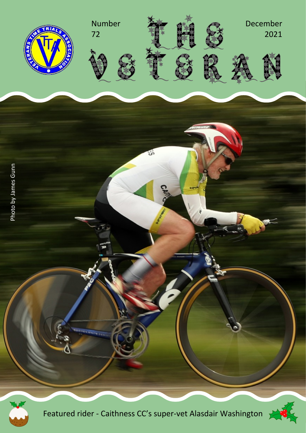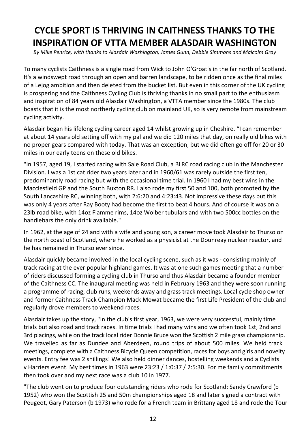## **CYCLE SPORT IS THRIVING IN CAITHNESS THANKS TO THE INSPIRATION OF VTTA MEMBER ALASDAIR WASHINGTON**

*By Mike Penrice, with thanks to Alasdair Washington, James Gunn, Debbie Simmons and Malcolm Gray*

To many cyclists Caithness is a single road from Wick to John O'Groat's in the far north of Scotland. It's a windswept road through an open and barren landscape, to be ridden once as the final miles of a Leiog ambition and then deleted from the bucket list. But even in this corner of the UK cycling is prospering and the Caithness Cycling Club is thriving thanks in no small part to the enthusiasm and inspiration of 84 years old Alasdair Washington, a VTTA member since the 1980s. The club boasts that it is the most northerly cycling club on mainland UK, so is very remote from mainstream cycling activity.

Alasdair began his lifelong cycling career aged 14 whilst growing up in Cheshire. "I can remember at about 14 years old setting off with my pal and we did 120 miles that day, on really old bikes with no proper gears compared with today. That was an exception, but we did often go off for 20 or 30 miles in our early teens on these old bikes.

"In 1957, aged 19, I started racing with Sale Road Club, a BLRC road racing club in the Manchester Division. I was a 1st cat rider two years later and in 1960/61 was rarely outside the first ten, predominantly road racing but with the occasional time trial. In 1960 I had my best wins in the Macclesfield GP and the South Buxton RR. I also rode my first 50 and 100, both promoted by the South Lancashire RC, winning both, with 2:6:20 and 4:23:43. Not impressive these days but this was only 4 years after Ray Booty had become the first to beat 4 hours. And of course it was on a 23lb road bike, with 14oz Fiamme rims, 14oz Wolber tubulars and with two 500cc bottles on the handlebars the only drink available."

In 1962, at the age of 24 and with a wife and young son, a career move took Alasdair to Thurso on the north coast of Scotland, where he worked as a physicist at the Dounreay nuclear reactor, and he has remained in Thurso ever since.

Alasdair quickly became involved in the local cycling scene, such as it was - consisting mainly of track racing at the ever popular highland games. It was at one such games meeting that a number of riders discussed forming a cycling club in Thurso and thus Alasdair became a founder member of the Caithness CC. The inaugural meeting was held in February 1963 and they were soon running a programme of racing, club runs, weekends away and grass track meetings. Local cycle shop owner and former Caithness Track Champion Mack Mowat became the first Life President of the club and regularly drove members to weekend races.

Alasdair takes up the story, "In the club's first year, 1963, we were very successful, mainly time trials but also road and track races. In time trials I had many wins and we often took 1st, 2nd and 3rd placings, while on the track local rider Donnie Bruce won the Scottish 2 mile grass championship. We travelled as far as Dundee and Aberdeen, round trips of about 500 miles. We held track meetings, complete with a Caithness Bicycle Queen competition, races for boys and girls and novelty events. Entry fee was 2 shillings! We also held dinner dances, hostelling weekends and a Cyclists v Harriers event. My best times in 1963 were 23:23 / 1:0:37 / 2:5:30. For me family commitments then took over and my next race was a club 10 in 1977.

"The club went on to produce four outstanding riders who rode for Scotland: Sandy Crawford (b 1952) who won the Scottish 25 and 50m championships aged 18 and later signed a contract with Peugeot, Gary Paterson (b 1973) who rode for a French team in Brittany aged 18 and rode the Tour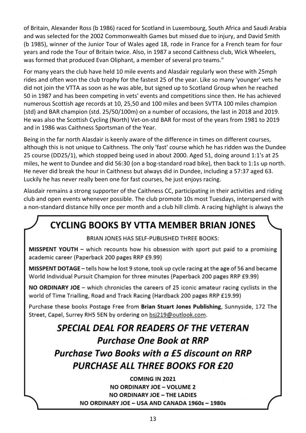of Britain, Alexander Ross (b 1986) raced for Scotland in Luxembourg, South Africa and Saudi Arabia and was selected for the 2002 Commonwealth Games but missed due to injury, and David Smith (b 1985), winner of the Junior Tour of Wales aged 18, rode in France for a French team for four years and rode the Tour of Britain twice. Also, in 1987 a second Caithness club, Wick Wheelers, was formed that produced Evan Oliphant, a member of several pro teams."

For many years the club have held 10 mile events and Alasdair regularly won these with 25mph rides and often won the club trophy for the fastest 25 of the year. Like so many 'younger' vets he did not join the VTTA as soon as he was able, but signed up to Scotland Group when he reached 50 in 1987 and has been competing in vets' events and competitions since then. He has achieved numerous Scottish age records at 10, 25,50 and 100 miles and been SVTTA 100 miles champion (std) and BAR champion (std. 25/50/100m) on a number of occasions, the last in 2018 and 2019. He was also the Scottish Cycling (North) Vet-on-std BAR for most of the years from 1981 to 2019 and in 1986 was Caithness Sportsman of the Year.

Being in the far north Alasdair is keenly aware of the difference in times on different courses, although this is not unique to Caithness. The only 'fast' course which he has ridden was the Dundee 25 course (DD25/1), which stopped being used in about 2000. Aged 51, doing around 1:1's at 25 miles, he went to Dundee and did 56:30 (on a bog-standard road bike), then back to 1:1s up north. He never did break the hour in Caithness but always did in Dundee, including a 57:37 aged 63. Luckily he has never really been one for fast courses, he just enjoys racing.

Alasdair remains a strong supporter of the Caithness CC, participating in their activities and riding club and open events whenever possible. The club promote 10s most Tuesdays, interspersed with a non-standard distance hilly once per month and a club hill climb. A racing highlight is always the

## **CYCLING BOOKS BY VTTA MEMBER BRIAN JONES**

BRIAN JONES HAS SELF-PUBLISHED THREE BOOKS:

MISSPENT YOUTH - which recounts how his obsession with sport put paid to a promising academic career (Paperback 200 pages RRP £9.99)

MISSPENT DOTAGE - tells how he lost 9 stone, took up cycle racing at the age of 56 and became World Individual Pursuit Champion for three minutes (Paperback 200 pages RRP £9.99)

NO ORDINARY JOE - which chronicles the careers of 25 iconic amateur racing cyclists in the world of Time Trialling, Road and Track Racing (Hardback 200 pages RRP £19.99)

Purchase these books Postage Free from Brian Stuart Jones Publishing, Sunnyside, 172 The Street, Capel, Surrey RH5 5EN by ordering on bsj219@outlook.com.

## SPECIAL DEAL FOR READERS OF THE VETERAN **Purchase One Book at RRP Purchase Two Books with a £5 discount on RRP PURCHASE ALL THREE BOOKS FOR £20**

**COMING IN 2021** NO ORDINARY JOE - VOLUME 2 **NO ORDINARY JOE - THE LADIES** NO ORDINARY JOE - USA AND CANADA 1960s - 1980s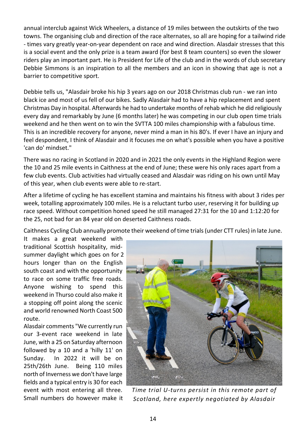annual interclub against Wick Wheelers, a distance of 19 miles between the outskirts of the two towns. The organising club and direction of the race alternates, so all are hoping for a tailwind ride - times vary greatly year-on-year dependent on race and wind direction. Alasdair stresses that this is a social event and the only prize is a team award (for best 8 team counters) so even the slower riders play an important part. He is President for Life of the club and in the words of club secretary Debbie Simmons is an inspiration to all the members and an icon in showing that age is not a barrier to competitive sport.

Debbie tells us, "Alasdair broke his hip 3 years ago on our 2018 Christmas club run - we ran into black ice and most of us fell of our bikes. Sadly Alasdair had to have a hip replacement and spent Christmas Day in hospital. Afterwards he had to undertake months of rehab which he did religiously every day and remarkably by June (6 months later) he was competing in our club open time trials weekend and he then went on to win the SVTTA 100 miles championship with a fabulous time. This is an incredible recovery for anyone, never mind a man in his 80's. If ever I have an injury and feel despondent, I think of Alasdair and it focuses me on what's possible when you have a positive 'can do' mindset."

There was no racing in Scotland in 2020 and in 2021 the only events in the Highland Region were the 10 and 25 mile events in Caithness at the end of June; these were his only races apart from a few club events. Club activities had virtually ceased and Alasdair was riding on his own until May of this year, when club events were able to re-start.

After a lifetime of cycling he has excellent stamina and maintains his fitness with about 3 rides per week, totalling approximately 100 miles. He is a reluctant turbo user, reserving it for building up race speed. Without competition honed speed he still managed 27:31 for the 10 and 1:12:20 for the 25, not bad for an 84 year old on deserted Caithness roads.

Caithness Cycling Club annually promote their weekend of time trials(under CTT rules) in late June.

It makes a great weekend with traditional Scottish hospitality, midsummer daylight which goes on for 2 hours longer than on the English south coast and with the opportunity to race on some traffic free roads. Anyone wishing to spend this weekend in Thurso could also make it a stopping off point along the scenic and world renowned North Coast 500 route.

Alasdair comments "We currently run our 3-event race weekend in late June, with a 25 on Saturday afternoon followed by a 10 and a 'hilly 11' on Sunday. In 2022 it will be on 25th/26th June. Being 110 miles north of Inverness we don't have large fields and a typical entry is 30 for each event with most entering all three. Small numbers do however make it



*Time trial U-turns persist in this remote part of Scotland, here expertly negotiated by Alasdair*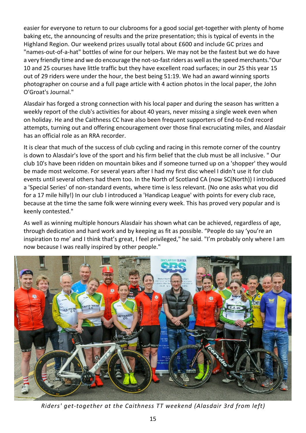easier for everyone to return to our clubrooms for a good social get-together with plenty of home baking etc, the announcing of results and the prize presentation; this is typical of events in the Highland Region. Our weekend prizes usually total about £600 and include GC prizes and "names-out-of-a-hat" bottles of wine for our helpers. We may not be the fastest but we do have a very friendly time and we do encourage the not-so-fastriders as well asthe speed merchants."Our 10 and 25 courses have little traffic but they have excellent road surfaces; in our 25 this year 15 out of 29 riders were under the hour, the best being 51:19. We had an award winning sports photographer on course and a full page article with 4 action photos in the local paper, the John O'Groat's Journal."

Alasdair has forged a strong connection with his local paper and during the season has written a weekly report of the club's activities for about 40 years, never missing a single week even when on holiday. He and the Caithness CC have also been frequent supporters of End-to-End record attempts, turning out and offering encouragement over those final excruciating miles, and Alasdair has an official role as an RRA recorder.

It is clear that much of the success of club cycling and racing in this remote corner of the country is down to Alasdair's love of the sport and his firm belief that the club must be all inclusive. " Our club 10's have been ridden on mountain bikes and if someone turned up on a 'shopper' they would be made most welcome. For several years after I had my first disc wheel I didn't use it for club events until several others had them too. In the North of Scotland CA (now SC(North)) I introduced a 'Special Series' of non-standard events, where time is less relevant. (No one asks what you did for a 17 mile hilly!) In our club I introduced a 'Handicap League' with points for every club race, because at the time the same folk were winning every week. This has proved very popular and is keenly contested."

As well as winning multiple honours Alasdair has shown what can be achieved, regardless of age, through dedication and hard work and by keeping as fit as possible. "People do say 'you're an inspiration to me' and I think that's great, I feel privileged," he said. "I'm probably only where I am now because I was really inspired by other people."



*Riders' get-together at the Caithness TT weekend (Alasdair 3rd from left)*